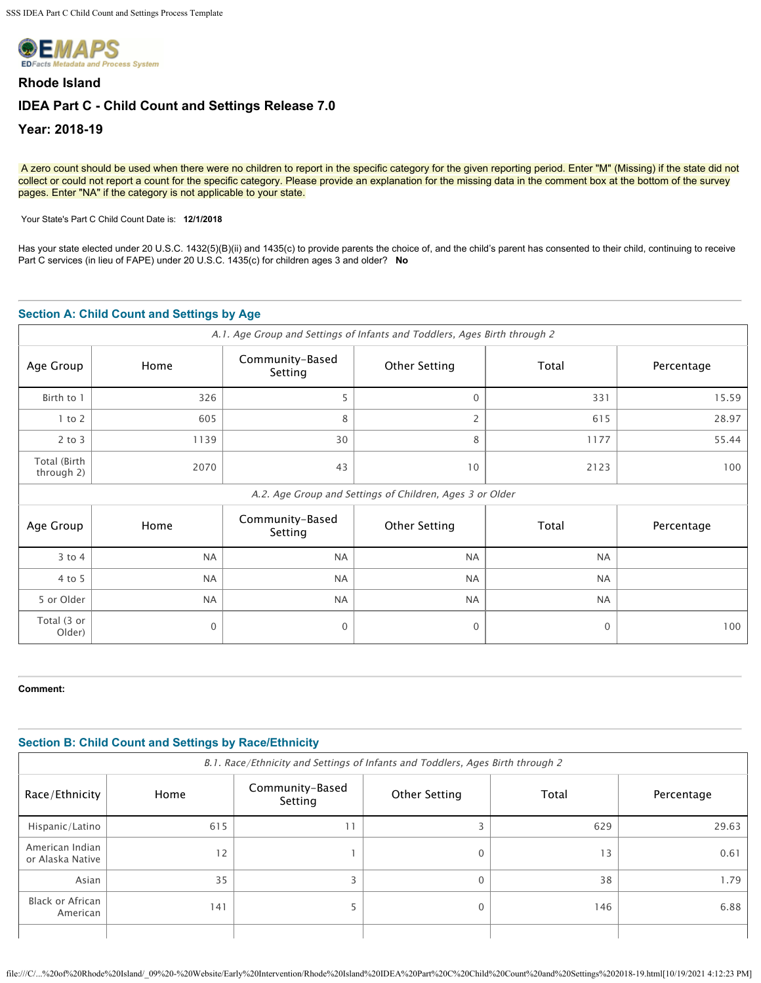

# **Rhode Island IDEA Part C - Child Count and Settings Release 7.0 Year: 2018-19**

A zero count should be used when there were no children to report in the specific category for the given reporting period. Enter "M" (Missing) if the state did not collect or could not report a count for the specific category. Please provide an explanation for the missing data in the comment box at the bottom of the survey pages. Enter "NA" if the category is not applicable to your state.

Your State's Part C Child Count Date is: **12/1/2018** 

Has your state elected under 20 U.S.C. 1432(5)(B)(ii) and 1435(c) to provide parents the choice of, and the child's parent has consented to their child, continuing to receive Part C services (in lieu of FAPE) under 20 U.S.C. 1435(c) for children ages 3 and older? **No**

## **Section A: Child Count and Settings by Age**

| A.1. Age Group and Settings of Infants and Toddlers, Ages Birth through 2 |                                                          |                            |                      |              |            |
|---------------------------------------------------------------------------|----------------------------------------------------------|----------------------------|----------------------|--------------|------------|
| Age Group                                                                 | Home                                                     | Community-Based<br>Setting | <b>Other Setting</b> | Total        | Percentage |
| Birth to 1                                                                | 326                                                      | 5                          | $\Omega$             | 331          | 15.59      |
| $1$ to $2$                                                                | 605                                                      | 8                          | 2                    | 615          | 28.97      |
| $2$ to $3$                                                                | 1139                                                     | 30                         | 8                    | 1177         | 55.44      |
| Total (Birth<br>through 2)                                                | 2070                                                     | 43                         | 10                   | 2123         | 100        |
|                                                                           | A.2. Age Group and Settings of Children, Ages 3 or Older |                            |                      |              |            |
| Age Group                                                                 | Home                                                     | Community-Based<br>Setting | <b>Other Setting</b> | Total        | Percentage |
| $3$ to $4$                                                                | <b>NA</b>                                                | <b>NA</b>                  | <b>NA</b>            | <b>NA</b>    |            |
| 4 to 5                                                                    | <b>NA</b>                                                | <b>NA</b>                  | <b>NA</b>            | <b>NA</b>    |            |
| 5 or Older                                                                | <b>NA</b>                                                | <b>NA</b>                  | <b>NA</b>            | <b>NA</b>    |            |
| Total (3 or<br>Older)                                                     | $\mathbf{0}$                                             | $\mathbf{0}$               | $\mathbf{0}$         | $\mathbf{0}$ | 100        |

### **Comment:**

| <b>Section B: Child Count and Settings by Race/Ethnicity</b> |                                                                                |                            |               |       |            |
|--------------------------------------------------------------|--------------------------------------------------------------------------------|----------------------------|---------------|-------|------------|
|                                                              | B.1. Race/Ethnicity and Settings of Infants and Toddlers, Ages Birth through 2 |                            |               |       |            |
| Race/Ethnicity                                               | Home                                                                           | Community-Based<br>Setting | Other Setting | Total | Percentage |
| Hispanic/Latino                                              | 615                                                                            | 11                         |               | 629   | 29.63      |
| American Indian<br>or Alaska Native                          | 12                                                                             |                            | $\Omega$      | 13    | 0.61       |
| Asian                                                        | 35                                                                             |                            | $\Omega$      | 38    | 1.79       |
| Black or African<br>American                                 | 141                                                                            |                            | $\Omega$      | 146   | 6.88       |
|                                                              |                                                                                |                            |               |       |            |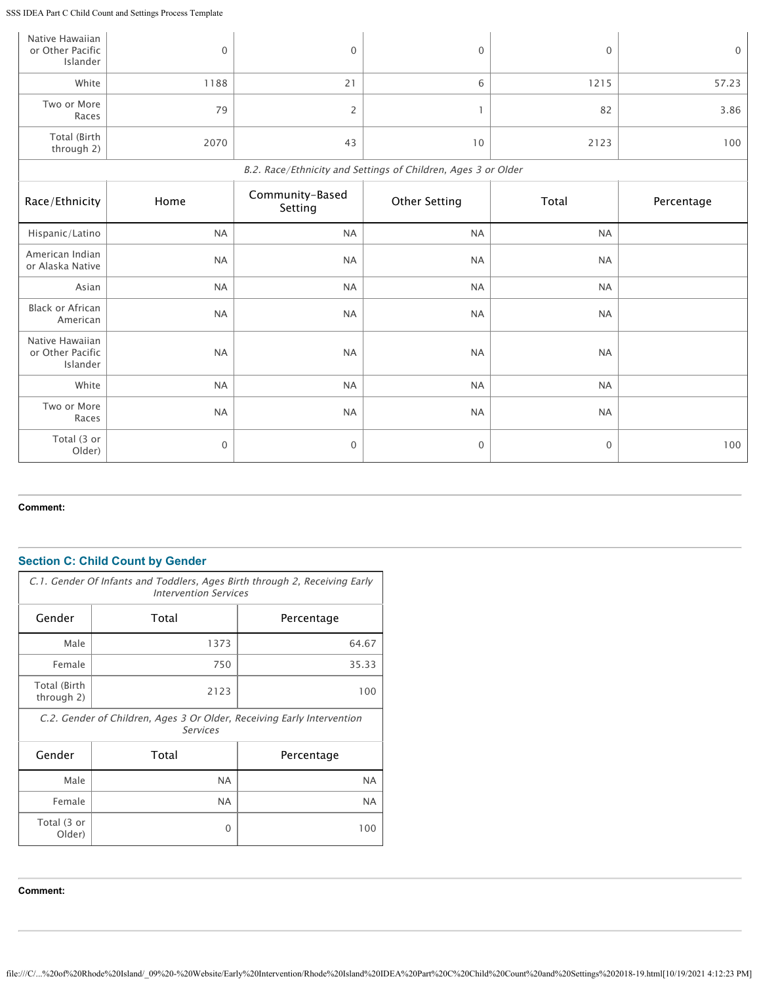SSS IDEA Part C Child Count and Settings Process Template

| Native Hawaiian<br>or Other Pacific<br>Islander | $\boldsymbol{0}$ | 0                          | 0                                                             | $\mathbf 0$ | $\mathbf 0$ |
|-------------------------------------------------|------------------|----------------------------|---------------------------------------------------------------|-------------|-------------|
| White                                           | 1188             | 21                         | 6                                                             | 1215        | 57.23       |
| Two or More<br>Races                            | 79               | $\overline{2}$             |                                                               | 82          | 3.86        |
| Total (Birth<br>through 2)                      | 2070             | 43                         | 10                                                            | 2123        | 100         |
|                                                 |                  |                            | B.2. Race/Ethnicity and Settings of Children, Ages 3 or Older |             |             |
| Race/Ethnicity                                  | Home             | Community-Based<br>Setting | <b>Other Setting</b>                                          | Total       | Percentage  |
| Hispanic/Latino                                 | <b>NA</b>        | <b>NA</b>                  | <b>NA</b>                                                     | <b>NA</b>   |             |
| American Indian<br>or Alaska Native             | <b>NA</b>        | <b>NA</b>                  | <b>NA</b>                                                     | <b>NA</b>   |             |
| Asian                                           | <b>NA</b>        | <b>NA</b>                  | <b>NA</b>                                                     | <b>NA</b>   |             |
| <b>Black or African</b><br>American             | <b>NA</b>        | <b>NA</b>                  | <b>NA</b>                                                     | <b>NA</b>   |             |
| Native Hawaiian<br>or Other Pacific<br>Islander | <b>NA</b>        | <b>NA</b>                  | <b>NA</b>                                                     | <b>NA</b>   |             |
| White                                           | <b>NA</b>        | <b>NA</b>                  | <b>NA</b>                                                     | <b>NA</b>   |             |
| Two or More<br>Races                            | <b>NA</b>        | <b>NA</b>                  | <b>NA</b>                                                     | <b>NA</b>   |             |
| Total (3 or<br>Older)                           | $\mathbf 0$      | 0                          | $\mathbf{0}$                                                  | $\mathbf 0$ | 100         |

#### **Comment:**

# **Section C: Child Count by Gender**

|                            | C.1. Gender Of Infants and Toddlers, Ages Birth through 2, Receiving Early<br><b>Intervention Services</b> |            |  |  |  |
|----------------------------|------------------------------------------------------------------------------------------------------------|------------|--|--|--|
| Gender                     | Total                                                                                                      | Percentage |  |  |  |
| Male                       | 1373                                                                                                       | 64.67      |  |  |  |
| Female                     | 750                                                                                                        | 35.33      |  |  |  |
| Total (Birth<br>through 2) | 2123                                                                                                       | 100        |  |  |  |
|                            | C.2. Gender of Children, Ages 3 Or Older, Receiving Early Intervention<br><b>Services</b>                  |            |  |  |  |
| Gender                     | Total                                                                                                      | Percentage |  |  |  |
| Male                       | NA.                                                                                                        | <b>NA</b>  |  |  |  |
| Female                     | NA.                                                                                                        | <b>NA</b>  |  |  |  |
| Total (3 or<br>Older)      | 0                                                                                                          | 100        |  |  |  |

**Comment:**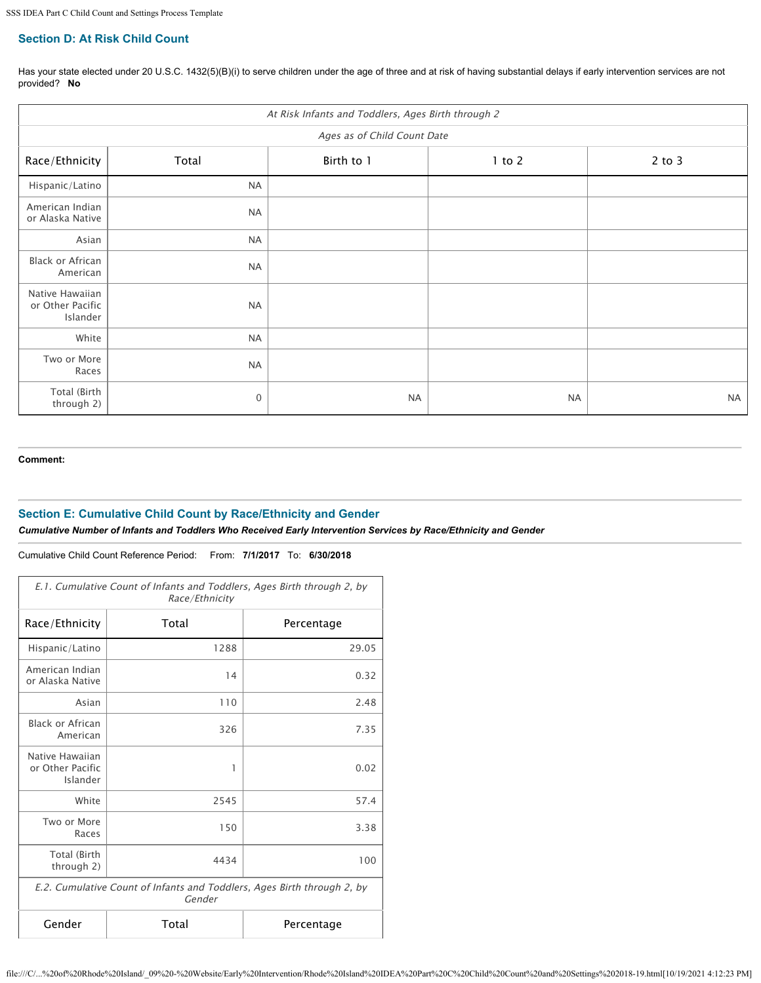# **Section D: At Risk Child Count**

Has your state elected under 20 U.S.C. 1432(5)(B)(i) to serve children under the age of three and at risk of having substantial delays if early intervention services are not provided? **No**

| At Risk Infants and Toddlers, Ages Birth through 2 |                             |            |            |            |  |
|----------------------------------------------------|-----------------------------|------------|------------|------------|--|
|                                                    | Ages as of Child Count Date |            |            |            |  |
| Race/Ethnicity                                     | Total                       | Birth to 1 | $1$ to $2$ | $2$ to $3$ |  |
| Hispanic/Latino                                    | <b>NA</b>                   |            |            |            |  |
| American Indian<br>or Alaska Native                | <b>NA</b>                   |            |            |            |  |
| Asian                                              | <b>NA</b>                   |            |            |            |  |
| Black or African<br>American                       | <b>NA</b>                   |            |            |            |  |
| Native Hawaiian<br>or Other Pacific<br>Islander    | <b>NA</b>                   |            |            |            |  |
| White                                              | <b>NA</b>                   |            |            |            |  |
| Two or More<br>Races                               | <b>NA</b>                   |            |            |            |  |
| Total (Birth<br>through 2)                         | $\mathbf{0}$                | $\sf NA$   | $\sf NA$   | <b>NA</b>  |  |

**Comment:**

## **Section E: Cumulative Child Count by Race/Ethnicity and Gender**

*Cumulative Number of Infants and Toddlers Who Received Early Intervention Services by Race/Ethnicity and Gender*

Cumulative Child Count Reference Period: From: **7/1/2017** To: **6/30/2018**

| E.1. Cumulative Count of Infants and Toddlers, Ages Birth through 2, by<br>Race/Ethnicity |       |            |  |
|-------------------------------------------------------------------------------------------|-------|------------|--|
| Race/Ethnicity                                                                            | Total | Percentage |  |
| Hispanic/Latino                                                                           | 1288  | 29.05      |  |
| American Indian<br>or Alaska Native                                                       | 14    | 0.32       |  |
| Asian                                                                                     | 110   | 2.48       |  |
| <b>Black or African</b><br>American                                                       | 326   | 7.35       |  |
| Native Hawaiian<br>or Other Pacific<br>Islander                                           | 1     | 0.02       |  |
| White                                                                                     | 2545  | 57.4       |  |
| Two or More<br>Races                                                                      | 150   | 3.38       |  |
| Total (Birth<br>through 2)                                                                | 4434  | 100        |  |
| E.2. Cumulative Count of Infants and Toddlers, Ages Birth through 2, by<br>Gender         |       |            |  |
| Gender<br>Total<br>Percentage                                                             |       |            |  |